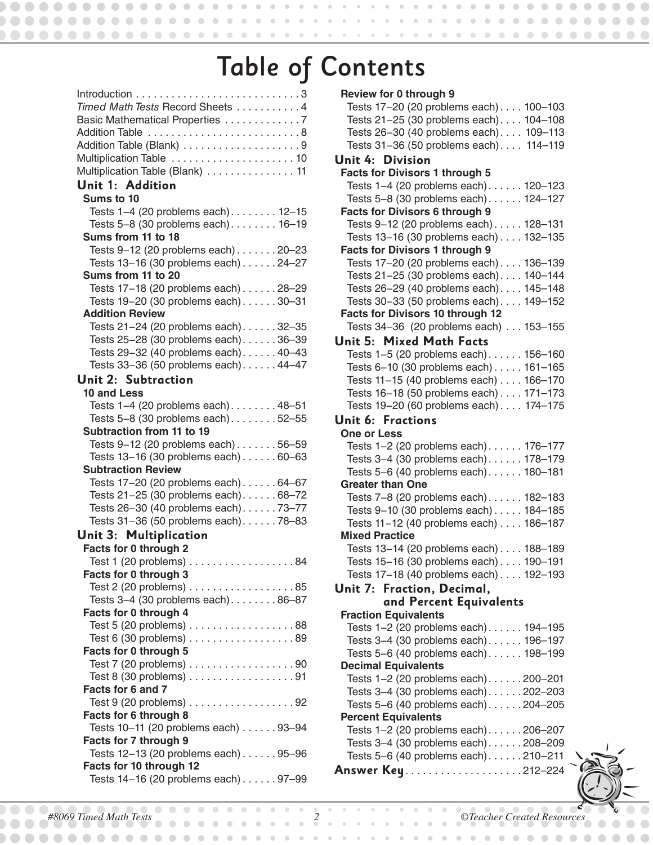## Table of Contents

| Timed Math Tests Record Sheets 4<br>Basic Mathematical Properties 7  |
|----------------------------------------------------------------------|
|                                                                      |
|                                                                      |
| Multiplication Table  10                                             |
| Multiplication Table (Blank) 11                                      |
| Unit 1: Addition                                                     |
| Sums to 10                                                           |
| Tests 1-4 (20 problems each) 12-15                                   |
| Tests 5-8 (30 problems each). 16-19                                  |
| Sums from 11 to 18                                                   |
| Tests 9-12 (20 problems each)20-23                                   |
| Tests 13-16 (30 problems each) 24-27                                 |
| Sums from 11 to 20                                                   |
| Tests 17-18 (20 problems each) 28-29                                 |
| Tests 19-20 (30 problems each)30-31                                  |
| <b>Addition Review</b>                                               |
| Tests 21-24 (20 problems each). 32-35                                |
| Tests 25-28 (30 problems each)36-39                                  |
| Tests 29-32 (40 problems each)40-43                                  |
| Tests 33-36 (50 problems each). 44-47                                |
| <b>Unit 2: Subtraction</b>                                           |
| 10 and Less                                                          |
| Tests 1-4 (20 problems each). 48-51                                  |
|                                                                      |
| Tests 5-8 (30 problems each). 52-55<br>Subtraction from 11 to 19     |
|                                                                      |
| Tests 9-12 (20 problems each)56-59                                   |
| Tests 13-16 (30 problems each) 60-63                                 |
| <b>Subtraction Review</b>                                            |
| Tests 17-20 (20 problems each)64-67                                  |
| Tests 21-25 (30 problems each). 68-72                                |
| Tests 26-30 (40 problems each)73-77                                  |
| Tests 31-36 (50 problems each)78-83                                  |
| Unit 3: Multiplication                                               |
| Facts for 0 through 2                                                |
| Test 1 (20 problems) $\ldots \ldots \ldots \ldots \ldots 84$         |
| Facts for 0 through 3                                                |
| Test 2 (20 problems) 85                                              |
| Tests 3-4 (30 problems each). 86-87                                  |
| Facts for 0 through 4                                                |
| Test 5 (20 problems) $\ldots \ldots \ldots \ldots \ldots \ldots 88$  |
| Test 6 (30 problems) 89                                              |
| Facts for 0 through 5                                                |
| Test 7 (20 problems) $\ldots \ldots \ldots \ldots \ldots \ldots$     |
| Test 8 (30 problems) 91                                              |
| Facts for 6 and 7                                                    |
| Test $9(20$ problems) $\ldots \ldots \ldots \ldots \ldots \ldots 92$ |
| Facts for 6 through 8                                                |
| Tests 10-11 (20 problems each) 93-94                                 |
| Facts for 7 through 9                                                |
| Tests 12-13 (20 problems each) 95-96                                 |
| Facts for 10 through 12                                              |
| Tests 14-16 (20 problems each) 97-99                                 |

| Review for 0 through 9<br>Tests 17-20 (20 problems each) 100-103<br>Tests 21-25 (30 problems each) 104-108<br>Tests 26-30 (40 problems each) 109-113<br>Tests 31-36 (50 problems each) 114-119<br>Unit 4: Division |
|--------------------------------------------------------------------------------------------------------------------------------------------------------------------------------------------------------------------|
|                                                                                                                                                                                                                    |
|                                                                                                                                                                                                                    |
|                                                                                                                                                                                                                    |
|                                                                                                                                                                                                                    |
|                                                                                                                                                                                                                    |
|                                                                                                                                                                                                                    |
| <b>Facts for Divisors 1 through 5</b>                                                                                                                                                                              |
| Tests 1-4 (20 problems each) 120-123                                                                                                                                                                               |
| Tests 5-8 (30 problems each) 124-127                                                                                                                                                                               |
| <b>Facts for Divisors 6 through 9</b>                                                                                                                                                                              |
| Tests 9-12 (20 problems each) 128-131                                                                                                                                                                              |
| Tests 13-16 (30 problems each) 132-135                                                                                                                                                                             |
| <b>Facts for Divisors 1 through 9</b>                                                                                                                                                                              |
| Tests 17-20 (20 problems each) 136-139                                                                                                                                                                             |
| Tests 21-25 (30 problems each) 140-144                                                                                                                                                                             |
| Tests 26-29 (40 problems each) 145-148                                                                                                                                                                             |
| Tests 30-33 (50 problems each). 149-152                                                                                                                                                                            |
| Facts for Divisors 10 through 12                                                                                                                                                                                   |
| Tests 34-36 (20 problems each)  153-155                                                                                                                                                                            |
| Unit 5: Mixed Math Facts                                                                                                                                                                                           |
| Tests 1-5 (20 problems each). 156-160                                                                                                                                                                              |
| Tests 6-10 (30 problems each) 161-165                                                                                                                                                                              |
| Tests 11-15 (40 problems each) 166-170                                                                                                                                                                             |
| Tests 16-18 (50 problems each) 171-173                                                                                                                                                                             |
| Tests 19-20 (60 problems each) 174-175                                                                                                                                                                             |
| <b>Unit 6: Fractions</b>                                                                                                                                                                                           |
| <b>One or Less</b>                                                                                                                                                                                                 |
| Tests 1-2 (20 problems each) 176-177                                                                                                                                                                               |
| Tests 3-4 (30 problems each) 178-179                                                                                                                                                                               |
| Tests 5-6 (40 problems each) 180-181                                                                                                                                                                               |
| <b>Greater than One</b>                                                                                                                                                                                            |
| Tests 7-8 (20 problems each) 182-183                                                                                                                                                                               |
| Tests 9-10 (30 problems each) 184-185                                                                                                                                                                              |
| Tests 11-12 (40 problems each) 186-187                                                                                                                                                                             |
| <b>Mixed Practice</b>                                                                                                                                                                                              |
| Tests 13-14 (20 problems each).<br>188-189                                                                                                                                                                         |
| Tests 15-16 (30 problems each) 190-191                                                                                                                                                                             |
| Tests 17-18 (40 problems each) 192-193                                                                                                                                                                             |
| Unit 7: Fraction, Decimal,                                                                                                                                                                                         |
| and Percent Equivalents                                                                                                                                                                                            |
| <b>Fraction Equivalents</b>                                                                                                                                                                                        |
| Tests 1-2 (20 problems each). 194-195                                                                                                                                                                              |
| Tests 3-4 (30 problems each). 196-197                                                                                                                                                                              |
| Tests 5-6 (40 problems each). 198-199<br><b>Decimal Equivalents</b>                                                                                                                                                |
| Tests 1-2 (20 problems each)200-201                                                                                                                                                                                |
| Tests 3-4 (30 problems each)202-203                                                                                                                                                                                |
| Tests 5-6 (40 problems each)204-205                                                                                                                                                                                |
| <b>Percent Equivalents</b>                                                                                                                                                                                         |
| Tests 1-2 (20 problems each)206-207                                                                                                                                                                                |
| Tests 3-4 (30 problems each)208-209                                                                                                                                                                                |
| Tests 5-6 (40 problems each). 210-211                                                                                                                                                                              |
|                                                                                                                                                                                                                    |



 $\blacksquare$  $\bullet$ 

 $0 0 0 0 0 0 0 0$ 

 $\begin{array}{c} \bullet \\ \bullet \end{array}$ 

 $\bullet$   $\bullet$ 

 $\bullet$   $\bullet$   $\bullet$ 

 $\bullet$   $\bullet$ 

 $\bullet$ 

. . . . . . . . . .

,,,,,,

......

 $\bullet$  $\bullet$  $\bullet$  $\bullet$ 

 $\bullet\bullet\bullet$ 

 $\bullet$ 

 $\bullet$  $\bigcirc$  $\begin{array}{c} \begin{array}{c} \begin{array}{c} \begin{array}{c} \end{array} \end{array} \end{array} \end{array}$ 

 $\bullet\bullet$  $\blacksquare$  $\blacksquare$  $\begin{array}{c} \begin{array}{c} \begin{array}{c} \begin{array}{c} \end{array} \end{array} \end{array} \end{array} \end{array}$ 

 $\bullet$  $\bullet$ 

 $\bullet$ 

. . . . . . . . . .

*#8069 Timed Math Tests 2 ©Teacher Created Resources*  $\blacksquare$ 

 $\begin{array}{c} \begin{array}{c} \begin{array}{c} \begin{array}{c} \end{array} \end{array} \end{array} \end{array} \end{array}$ 

 $\Box$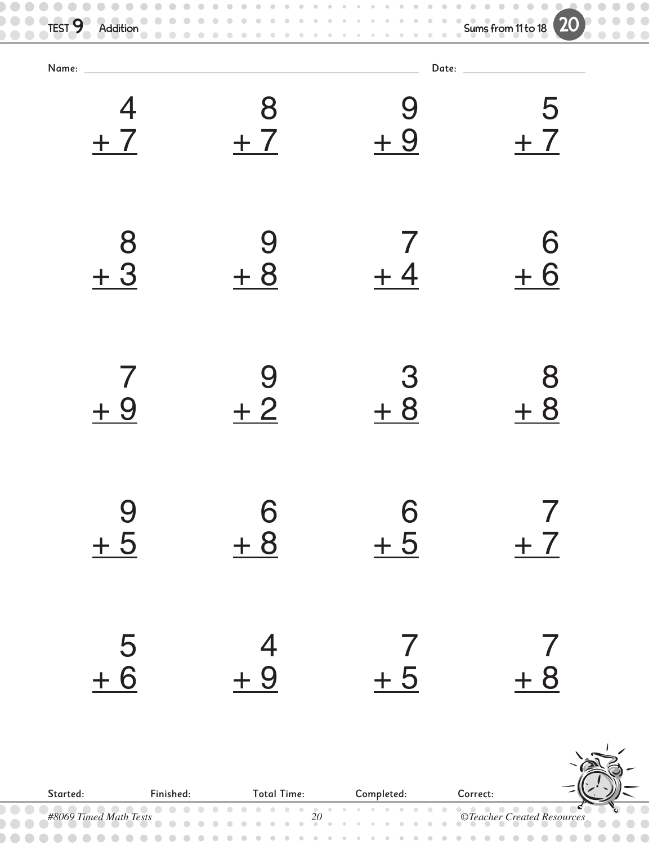| $\bullet$<br>TEST 9<br>Addition<br>$\blacksquare$<br>$\bigcirc$ |               |                | <b>20</b> |
|-----------------------------------------------------------------|---------------|----------------|-----------|
|                                                                 |               |                |           |
| $+7$                                                            | 8<br>$+7$     | $+9$           | 5<br>$+7$ |
| 8<br>$+3$                                                       | 9<br>$+8$     |                | 6<br>6    |
| $+9$                                                            | $+2$          | З<br>$+8$      | 8<br>$+8$ |
| $\frac{9}{+5}$                                                  | $\frac{6}{6}$ | $\frac{6}{+5}$ | $+7$      |
| $\frac{5}{6}$                                                   | $\frac{4}{1}$ | $+5$           | $+8$      |

<u>56.</u>



|                                                            |  | <b>Total Time:</b> |  |  |
|------------------------------------------------------------|--|--------------------|--|--|
| 48069 Timed Math Tests 20<br>20 CTeacher Created Resources |  |                    |  |  |
|                                                            |  |                    |  |  |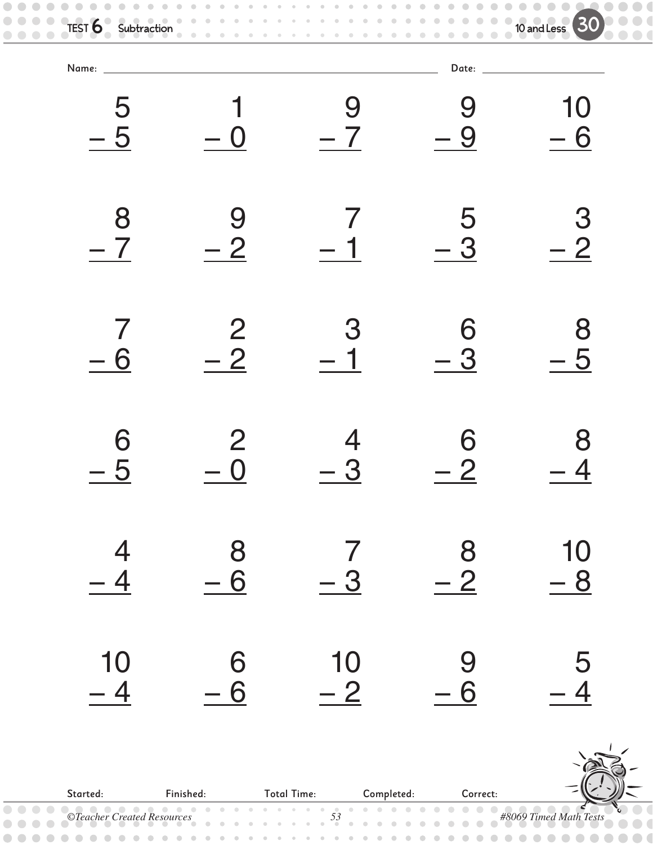| Name: ____     |                |      | Date: _________ |      |
|----------------|----------------|------|-----------------|------|
| 5              |                | 9    | 9               | 10   |
| $-5$           |                | $-7$ | - 9             | $-6$ |
| 8              | 9              |      | 5               | 3    |
| $-7$           | $-2$           |      | $-3$            | $-2$ |
| 7              | $\overline{2}$ | 3    | 6               | 8    |
| - 6            | $-2$           |      | $-3$            | $-5$ |
| 6              | $\overline{2}$ | 4    | 6               | 8    |
| $-5$           | $\bigcap$      | 3    | - 2             |      |
| $\overline{4}$ | 8              | $-3$ | 8               | 10   |
| $-4$           | $-6$           |      | $-2$            | $-8$ |
| 10             | 6              | 10   | 9               | 5    |
| $-4$           | $-6$           | $-2$ | $-6$            | $-4$ |

Started: Finished: Total Time: Completed: Correct: *©Teacher Created Resources 53 #8069 Timed Math Tests*  $\begin{array}{c} \begin{array}{c} \begin{array}{c} \begin{array}{c} \end{array} \end{array} \end{array} \end{array} \end{array}$ 

 $\bullet$   $\bullet$  $\bullet$  $\bullet$  $\begin{array}{c} \bullet \\ \bullet \end{array}$ 

 $\bullet$ 

 $\qquad \qquad \Box$ 

 $\bullet$ 

 $\qquad \qquad \bullet$  $\sqrt{2}$  $\Box$ 

 $\bullet\bullet$ 

 $\bullet$ 

 $\overline{\phantom{a}}$ 

 $\bullet$ 

 $\blacksquare$  $\triangle$   $\blacksquare$  $\triangle$ 

 $\bullet$ 

 $\bullet\bullet\bullet$ 

 $\bullet$  $\sqrt{2}$  $\bigcirc$  $\subset$  $\Box$ 

 $\bullet$ 

 $\bullet$ 

 $\bullet$ 

 $\bullet$ 

 $\hfill \textcircled{.}$ 

 $\begin{array}{c} \begin{array}{c} \begin{array}{c} \begin{array}{c} \end{array} \end{array} \end{array} \end{array}$ 

TEST  $\bf{6}$  Subtraction  $\bf{6}$  Subtraction 30

 $\begin{array}{ccccc}\n\bullet & \bullet & \bullet & \bullet\n\end{array}$ 

 $\bullet$  $\bigcirc$  $\bullet$ 

 $\bullet$ 

 $\bullet\bullet\bullet$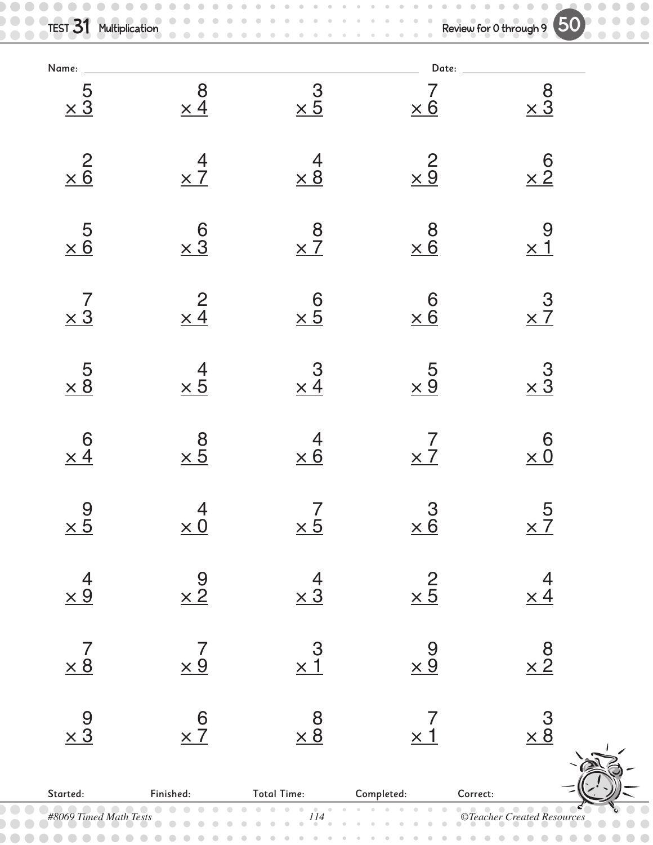| <b>TEST 31 Multiplication</b>                | $\bullet\quad \bullet$                       | Review for 0 through 9 50                        |                                              |                      |
|----------------------------------------------|----------------------------------------------|--------------------------------------------------|----------------------------------------------|----------------------|
| Name:                                        |                                              |                                                  | Date:                                        |                      |
| $\frac{5}{\times 3}$                         | $\begin{array}{c} 8 \\ \times 4 \end{array}$ | $\frac{3}{1} \times 5$                           | $\times 6$                                   | $\frac{8}{\times 3}$ |
| $rac{2}{\times 6}$                           | $rac{4}{\times 7}$                           | $\frac{4}{\times 8}$                             | $\frac{2}{\times 9}$                         | $6 \times 2$         |
| $\frac{5}{\times 6}$                         | $\frac{6}{\times 3}$                         | $rac{8}{x7}$                                     | $\frac{8}{\times 6}$                         | $\frac{9}{\times 1}$ |
| $\frac{7}{\times 3}$                         | $\frac{2}{\times 4}$                         | $rac{6}{\times 5}$                               | $rac{6}{\times 6}$                           | $\frac{3}{2}$        |
| $\frac{5}{\times 8}$                         | $rac{4}{\times 5}$                           | $\frac{3}{\times 4}$                             | $\frac{5}{\times 9}$                         | $\frac{3}{2}$        |
| $6 \times 4$                                 | $\frac{8}{25}$                               | 4<br>$\times 6$                                  | $\times$ 7                                   | 6<br>$\times 0$      |
| $\frac{9}{25}$                               | $\frac{4}{\times 0}$                         | $\frac{7}{25}$                                   | $\frac{3}{\times 6}$                         | $rac{5}{x}$          |
| $\frac{4}{\times 9}$                         | $\frac{9}{2}$                                | $\frac{4}{\times 3}$                             | $\frac{2}{\times 5}$                         | $\frac{4}{\times 4}$ |
| $\begin{array}{c} 7 \\ \times 8 \end{array}$ | $\frac{7}{\times 9}$                         | $\frac{3}{2}$                                    | $\frac{9}{2}$                                | $\frac{8}{2}$        |
| $\frac{9}{\times 3}$                         | $rac{6}{\times 7}$                           | $\begin{array}{c}\n 8 \\ \times 8\n \end{array}$ | $\begin{array}{c} 7 \\ \times 1 \end{array}$ | $\frac{3}{28}$       |
|                                              |                                              |                                                  |                                              |                      |

| $\ddot{\phantom{0}}$   | $\cdots$  | $\ddot{\phantom{0}}$ | $\sim$ $\sim$ | $\ddot{\phantom{0}}$                                     |
|------------------------|-----------|----------------------|---------------|----------------------------------------------------------|
| Started:               | Finished: | <b>Total Time:</b>   | Completed:    | Correct:                                                 |
| #8069 Timed Math Tests |           | '14                  |               | <b>©Teacher Created Resources</b><br>$\bullet$ $\bullet$ |
| .                      |           |                      |               | $\bullet\bullet\bullet\bullet$                           |